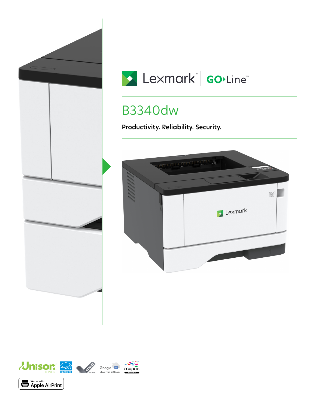



# B3340dw

**Productivity. Reliability. Security.**



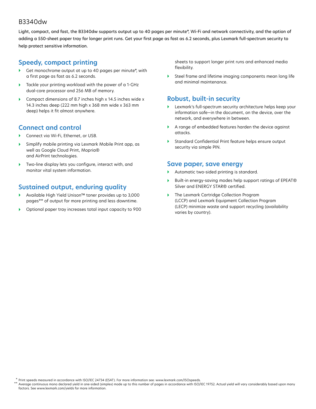#### B3340dw

Light, compact, and fast, the B3340dw supports output up to 40 pages per minute\*, Wi-Fi and network connectivity, and the option of adding a 550-sheet paper tray for longer print runs. Get your first page as fast as 6.2 seconds, plus Lexmark full-spectrum security to help protect sensitive information.

### **Speedy, compact printing**

- Get monochrome output at up to 40 pages per minute\*, with a first page as fast as 6.2 seconds.
- Tackle your printing workload with the power of a 1-GHz dual-core processor and 256 MB of memory.
- Compact dimensions of 8.7 inches high x 14.5 inches wide x 14.3 inches deep (222 mm high x 368 mm wide x 363 mm deep) helps it fit almost anywhere.

## **Connect and control**

- Connect via Wi-Fi, Ethernet, or USB.
- Simplify mobile printing via Lexmark Mobile Print app, as well as Google Cloud Print, Mopria® and AirPrint technologies.
- Two-line display lets you configure, interact with, and monitor vital system information.

## **Sustained output, enduring quality**

- Available High Yield Unison™ toner provides up to 3,000 pages\*\* of output for more printing and less downtime.
- Optional paper tray increases total input capacity to 900

sheets to support longer print runs and enhanced media flexibility.

 Steel frame and lifetime imaging components mean long life and minimal maintenance.

#### **Robust, built-in security**

- Lexmark's full-spectrum security architecture helps keep your information safe—in the document, on the device, over the network, and everywhere in between.
- A range of embedded features harden the device against attacks.
- Standard Confidential Print feature helps ensure output security via simple PIN.

#### **Save paper, save energy**

- Automatic two-sided printing is standard.
- Built-in energy-saving modes help support ratings of EPEAT® Silver and ENERGY STAR® certified.
- The Lexmark Cartridge Collection Program (LCCP) and Lexmark Equipment Collection Program (LECP) minimize waste and support recycling (availability varies by country).

Print speeds measured in accordance with ISO/IEC 24734 (ESAT). For more information see: www.lexmark.com/ISOspeeds. \*

Average continuous mono declared yield in one-sided (simplex) mode up to this number of pages in accordance with ISO/IEC 19752. Actual yield will vary considerably based upon many factors. See www.lexmark.com/yields for more information. \*\*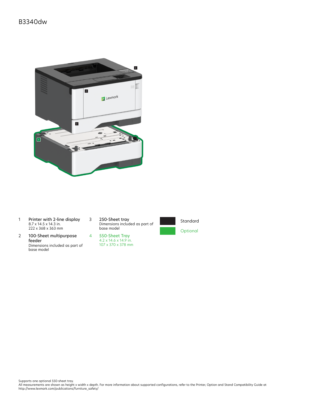

- 1 Printer with 2-line display 8.7 x 14.5 x 14.3 in. 222 x 368 x 363 mm
- 2 100-Sheet multipurpose feeder Dimensions included as part of base model

3 250-Sheet tray Dimensions included as part of base model

4 550-Sheet Tray

107 x 370 x 378 mm



Standard **Optional** 

Supports one optional 550-sheet tray.<br>All measurements are shown as height x width x depth. For more information about supported configurations, refer to the Printer, Option and Stand Compatibility Guide at<br>http://www.lexm